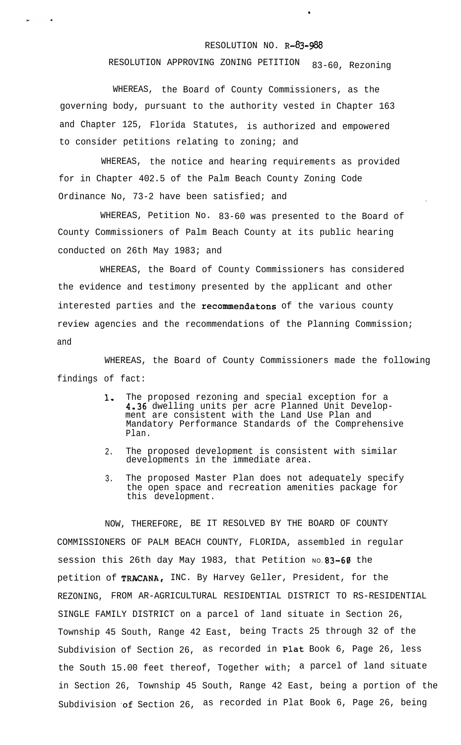## RESOLUTION NO. **R-83-988**

.

RESOLUTION APPROVING ZONING PETITION 83-60, Rezoning

WHEREAS, the Board of County Commissioners, as the governing body, pursuant to the authority vested in Chapter 163 and Chapter 125, Florida Statutes, is authorized and empowered to consider petitions relating to zoning; and

WHEREAS, the notice and hearing requirements as provided for in Chapter 402.5 of the Palm Beach County Zoning Code Ordinance No, 73-2 have been satisfied; and

WHEREAS, Petition No. 83-60 was presented to the Board of County Commissioners of Palm Beach County at its public hearing conducted on 26th May 1983; and

WHEREAS, the Board of County Commissioners has considered the evidence and testimony presented by the applicant and other interested parties and the recommendatons of the various county review agencies and the recommendations of the Planning Commission; and

WHEREAS, the Board of County Commissioners made the following findings of fact:

- 1. The proposed rezoning and special exception for a 4-36 dwelling units per acre Planned Unit Development are consistent with the Land Use Plan and Mandatory Performance Standards of the Comprehensive Plan.
- 2. The proposed development is consistent with similar developments in the immediate area.
- 3. The proposed Master Plan does not adequately specify the open space and recreation amenities package for this development.

NOW, THEREFORE, BE IT RESOLVED BY THE BOARD OF COUNTY COMMISSIONERS OF PALM BEACH COUNTY, FLORIDA, assembled in regular session this 26th day May 1983, that Petition No. 83-60 the petition of TRACANA, INC. By Harvey Geller, President, for the REZONING, FROM AR-AGRICULTURAL RESIDENTIAL DISTRICT TO RS-RESIDENTIAL SINGLE FAMILY DISTRICT on a parcel of land situate in Section 26, Township 45 South, Range 42 East, being Tracts 25 through 32 of the Subdivision of Section 26, as recorded in Plat Book 6, Page 26, less the South 15.00 feet thereof, Together with; a parcel of land situate in Section 26, Township 45 South, Range 42 East, being a portion of the Subdivision of Section 26, as recorded in Plat Book 6, Page 26, being